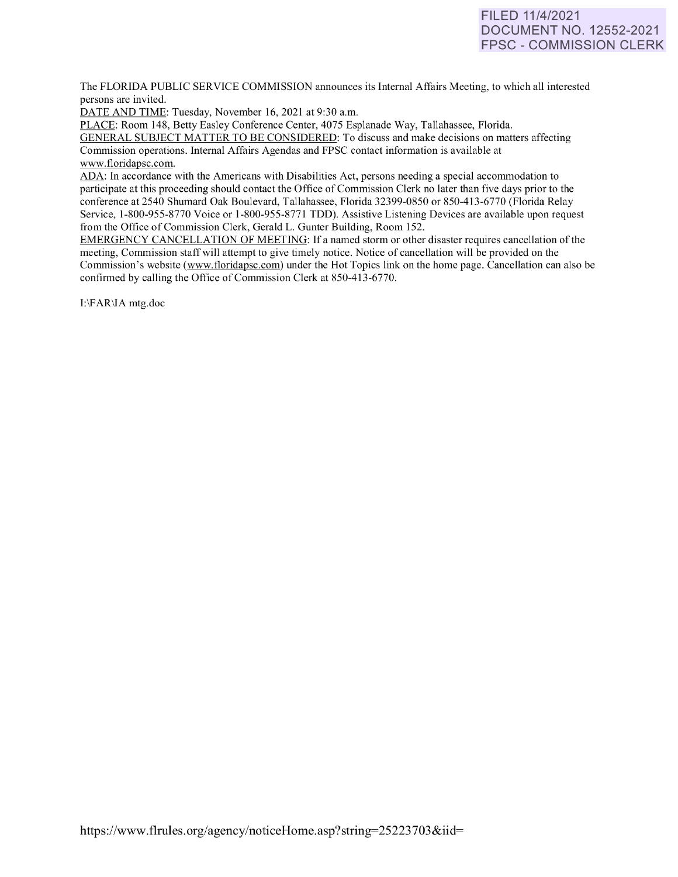# FILED 11/4/2021 DOCUMENT NO. 12552-2021 FPSC - COMMISSION CLERK

The FLORIDA PUBLIC SERVICE COMMISSION announces its Internal Affairs Meeting, to which all interested persons are invited.

DATE AND TIME: Tuesday, November 16, 2021 at 9:30 a.m.

PLACE: Room 148, Betty Easley Conference Center, 4075 Esplanade Way, Tallahassee, Florida.

GENERAL SUBJECT MATTER TO BE CONSIDERED: To discuss and make decisions on matters affecting Commission operations. Internal Affairs Agendas and FPSC contact information is available at [www.floridapsc.com.](http://www.floridapsc.com/) 

ADA: In accordance with the Americans with Disabilities Act, persons needing a special accommodation to participate at this proceeding should contact the Office of Commission Clerk no later than five days prior to the conference at 2540 Shumard Oak Boulevard, Tallahassee, Florida 32399-0850 or 850-41 3-6770 (Florida Relay Service, 1-800-955-8770 Voice or 1-800-955-8771 TDD). Assistive Listening Devices are available upon request from the Office of Commission Clerk, Gerald L. Gunter Building, Room 152.

EMERGENCY CANCELLATION OF MEETING: If a named storm or other disaster requires cancellation of the meeting, Commission staff will attempt to give timely notice. Notice of cancellation will be provided on the Commission's website [\(www.f](http://www/)loridapsc.com) under the Hot Topics link on the home page. Cancellation can also be confirmed by calling the Office of Commission Clerk at 850-413-6770.

1:\FAR\IA mtg.doc